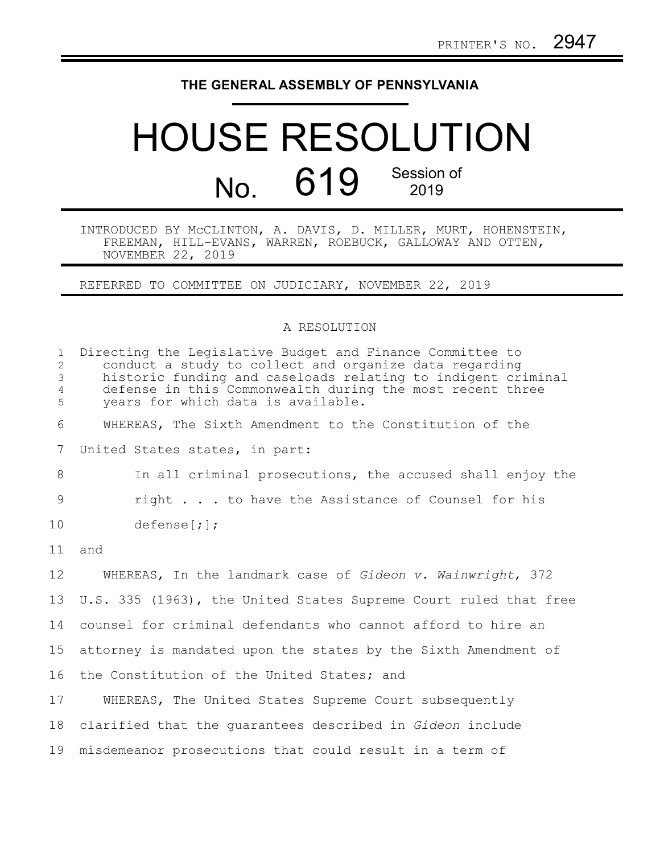## **THE GENERAL ASSEMBLY OF PENNSYLVANIA**

## HOUSE RESOLUTION No. 619 Session of

INTRODUCED BY McCLINTON, A. DAVIS, D. MILLER, MURT, HOHENSTEIN, FREEMAN, HILL-EVANS, WARREN, ROEBUCK, GALLOWAY AND OTTEN, NOVEMBER 22, 2019

REFERRED TO COMMITTEE ON JUDICIARY, NOVEMBER 22, 2019

## A RESOLUTION

| $\mathbf{1}$<br>$\overline{2}$<br>3<br>$\overline{4}$<br>5 | Directing the Legislative Budget and Finance Committee to<br>conduct a study to collect and organize data regarding<br>historic funding and caseloads relating to indigent criminal<br>defense in this Commonwealth during the most recent three<br>years for which data is available. |
|------------------------------------------------------------|----------------------------------------------------------------------------------------------------------------------------------------------------------------------------------------------------------------------------------------------------------------------------------------|
| 6                                                          | WHEREAS, The Sixth Amendment to the Constitution of the                                                                                                                                                                                                                                |
| 7                                                          | United States states, in part:                                                                                                                                                                                                                                                         |
| 8                                                          | In all criminal prosecutions, the accused shall enjoy the                                                                                                                                                                                                                              |
| 9                                                          | right to have the Assistance of Counsel for his                                                                                                                                                                                                                                        |
| 10                                                         | defense[i];                                                                                                                                                                                                                                                                            |
| 11                                                         | and                                                                                                                                                                                                                                                                                    |
| 12                                                         | WHEREAS, In the landmark case of Gideon v. Wainwright, 372                                                                                                                                                                                                                             |
| 13                                                         | U.S. 335 (1963), the United States Supreme Court ruled that free                                                                                                                                                                                                                       |
| 14                                                         | counsel for criminal defendants who cannot afford to hire an                                                                                                                                                                                                                           |
| 15                                                         | attorney is mandated upon the states by the Sixth Amendment of                                                                                                                                                                                                                         |
| 16                                                         | the Constitution of the United States; and                                                                                                                                                                                                                                             |
| 17                                                         | WHEREAS, The United States Supreme Court subsequently                                                                                                                                                                                                                                  |
| 18                                                         | clarified that the quarantees described in Gideon include                                                                                                                                                                                                                              |
| 19                                                         | misdemeanor prosecutions that could result in a term of                                                                                                                                                                                                                                |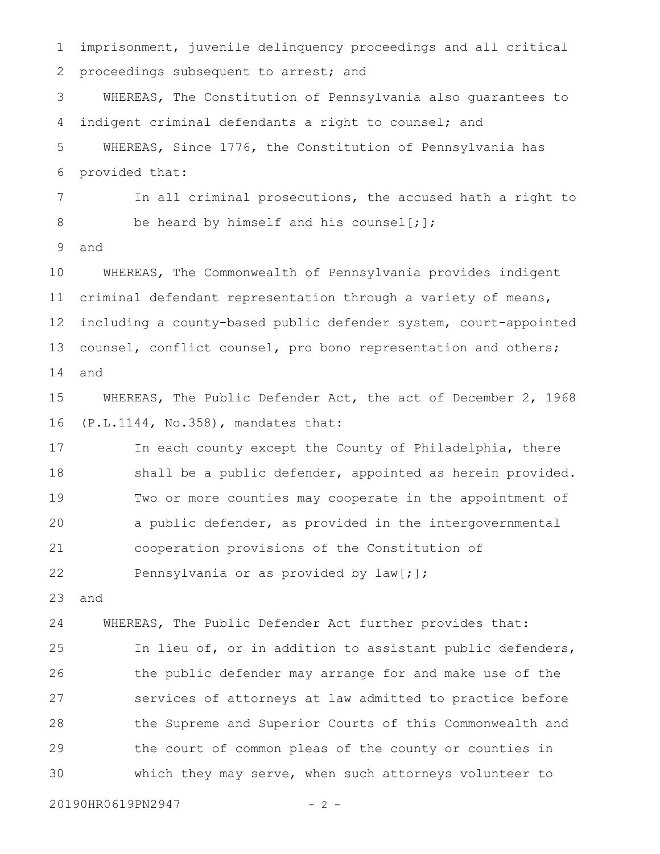imprisonment, juvenile delinquency proceedings and all critical proceedings subsequent to arrest; and 1 2

WHEREAS, The Constitution of Pennsylvania also guarantees to indigent criminal defendants a right to counsel; and WHEREAS, Since 1776, the Constitution of Pennsylvania has 3 4 5

provided that: 6

In all criminal prosecutions, the accused hath a right to be heard by himself and his counsel[;]; 7 8

and 9

WHEREAS, The Commonwealth of Pennsylvania provides indigent criminal defendant representation through a variety of means, including a county-based public defender system, court-appointed counsel, conflict counsel, pro bono representation and others; and 10 11 12 13 14

WHEREAS, The Public Defender Act, the act of December 2, 1968 (P.L.1144, No.358), mandates that: 15 16

In each county except the County of Philadelphia, there shall be a public defender, appointed as herein provided. Two or more counties may cooperate in the appointment of a public defender, as provided in the intergovernmental cooperation provisions of the Constitution of Pennsylvania or as provided by law[;]; 17 18 19 20 21 22

and 23

WHEREAS, The Public Defender Act further provides that: In lieu of, or in addition to assistant public defenders, the public defender may arrange for and make use of the services of attorneys at law admitted to practice before the Supreme and Superior Courts of this Commonwealth and the court of common pleas of the county or counties in which they may serve, when such attorneys volunteer to 24 25 26 27 28 29 30

20190HR0619PN2947 - 2 -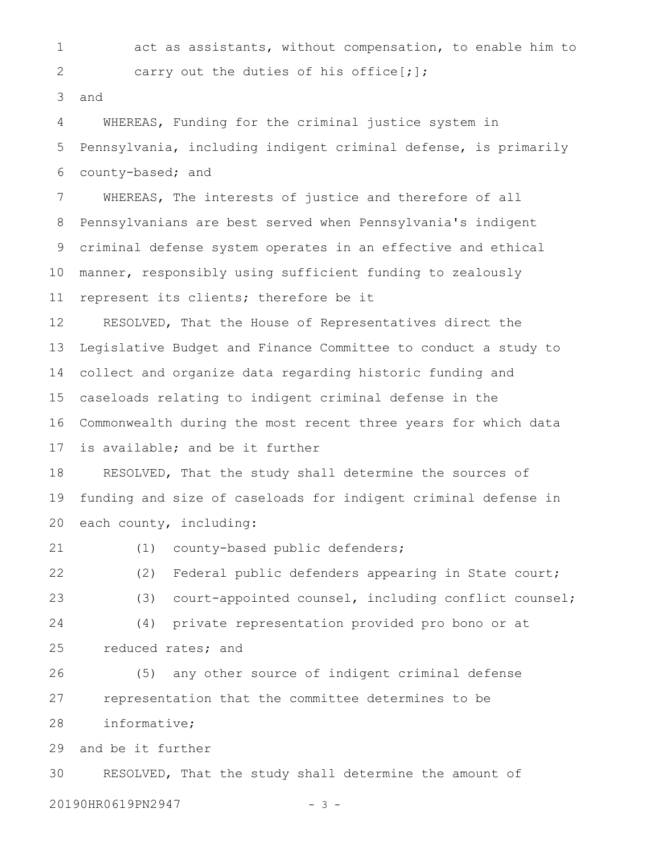act as assistants, without compensation, to enable him to carry out the duties of his office[;]; and WHEREAS, Funding for the criminal justice system in Pennsylvania, including indigent criminal defense, is primarily county-based; and WHEREAS, The interests of justice and therefore of all Pennsylvanians are best served when Pennsylvania's indigent criminal defense system operates in an effective and ethical manner, responsibly using sufficient funding to zealously represent its clients; therefore be it RESOLVED, That the House of Representatives direct the Legislative Budget and Finance Committee to conduct a study to collect and organize data regarding historic funding and caseloads relating to indigent criminal defense in the Commonwealth during the most recent three years for which data is available; and be it further RESOLVED, That the study shall determine the sources of funding and size of caseloads for indigent criminal defense in each county, including: (1) county-based public defenders; (2) Federal public defenders appearing in State court; (3) court-appointed counsel, including conflict counsel; (4) private representation provided pro bono or at reduced rates; and (5) any other source of indigent criminal defense representation that the committee determines to be informative; and be it further RESOLVED, That the study shall determine the amount of 1 2 3 4 5 6 7 8 9 10 11 12 13 14 15 16 17 18 19 20 21 22 23 24 25 26 27 28 29 30

20190HR0619PN2947 - 3 -